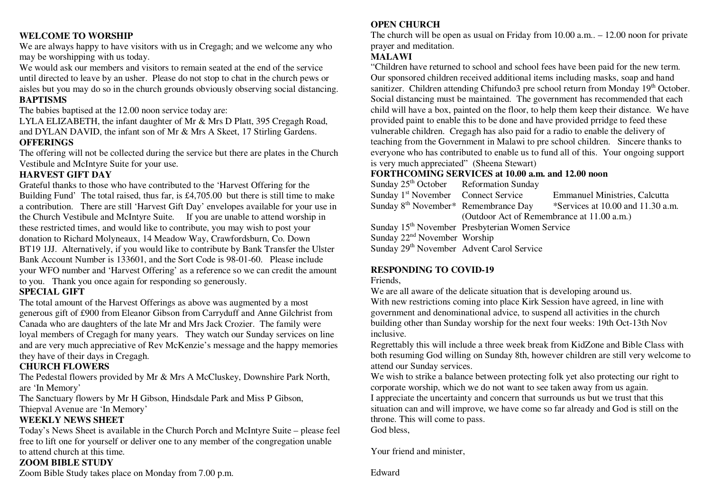## **WELCOME TO WORSHIP**

 We are always happy to have visitors with us in Cregagh; and we welcome any who may be worshipping with us today.

We would ask our members and visitors to remain seated at the end of the service until directed to leave by an usher. Please do not stop to chat in the church pews or aisles but you may do so in the church grounds obviously observing social distancing. **BAPTISMS** 

The babies baptised at the 12.00 noon service today are:

 LYLA ELIZABETH, the infant daughter of Mr & Mrs D Platt, 395 Cregagh Road, and DYLAN DAVID, the infant son of Mr & Mrs A Skeet, 17 Stirling Gardens.

## **OFFERINGS**

 The offering will not be collected during the service but there are plates in the Church Vestibule and McIntyre Suite for your use.

## **HARVEST GIFT DAY**

 Grateful thanks to those who have contributed to the 'Harvest Offering for the Building Fund' The total raised, thus far, is £4,705.00 but there is still time to make a contribution. There are still 'Harvest Gift Day' envelopes available for your use in the Church Vestibule and McIntyre Suite. If you are unable to attend worship in these restricted times, and would like to contribute, you may wish to post your donation to Richard Molyneaux, 14 Meadow Way, Crawfordsburn, Co. Down BT19 1JJ. Alternatively, if you would like to contribute by Bank Transfer the Ulster Bank Account Number is 133601, and the Sort Code is 98-01-60. Please include your WFO number and 'Harvest Offering' as a reference so we can credit the amount to you. Thank you once again for responding so generously.

## **SPECIAL GIFT**

 The total amount of the Harvest Offerings as above was augmented by a most generous gift of £900 from Eleanor Gibson from Carryduff and Anne Gilchrist from Canada who are daughters of the late Mr and Mrs Jack Crozier. The family were loyal members of Cregagh for many years. They watch our Sunday services on line and are very much appreciative of Rev McKenzie's message and the happy memories they have of their days in Cregagh.

## **CHURCH FLOWERS**

 The Pedestal flowers provided by Mr & Mrs A McCluskey, Downshire Park North, are 'In Memory'

The Sanctuary flowers by Mr H Gibson, Hindsdale Park and Miss P Gibson,

Thiepval Avenue are 'In Memory'

## **WEEKLY NEWS SHEET**

 Today's News Sheet is available in the Church Porch and McIntyre Suite – please feel free to lift one for yourself or deliver one to any member of the congregation unable to attend church at this time.

## **ZOOM BIBLE STUDY**

Zoom Bible Study takes place on Monday from 7.00 p.m.

## **OPEN CHURCH**

 The church will be open as usual on Friday from 10.00 a.m.. – 12.00 noon for private prayer and meditation.

## **MALAWI**

 "Children have returned to school and school fees have been paid for the new term. Our sponsored children received additional items including masks, soap and hand sanitizer. Children attending Chifundo3 pre school return from Monday 19<sup>th</sup> October. Social distancing must be maintained. The government has recommended that each child will have a box, painted on the floor, to help them keep their distance. We have provided paint to enable this to be done and have provided prridge to feed these vulnerable children. Cregagh has also paid for a radio to enable the delivery of teaching from the Government in Malawi to pre school children. Sincere thanks to everyone who has contributed to enable us to fund all of this. Your ongoing support is very much appreciated" (Sheena Stewart)

## **FORTHCOMING SERVICES at 10.00 a.m. and 12.00 noon**

Sunday  $25<sup>th</sup>$  October Reformation Sunday Sunday 1st November Connect Service Emmanuel Ministries, Calcutta Sunday 8<sup>th</sup> November\* Remembrance Day \*Services at 10.00 and 11.30 a.m. (Outdoor Act of Remembrance at 11.00 a.m.) Sunday 15th November Presbyterian Women Service Sunday 22<sup>nd</sup> November Worship Sunday 29<sup>th</sup> November Advent Carol Service

## **RESPONDING TO COVID-19**

Friends,

 We are all aware of the delicate situation that is developing around us. With new restrictions coming into place Kirk Session have agreed, in line with government and denominational advice, to suspend all activities in the church building other than Sunday worship for the next four weeks: 19th Oct-13th Nov inclusive.

 Regrettably this will include a three week break from KidZone and Bible Class with both resuming God willing on Sunday 8th, however children are still very welcome to attend our Sunday services.

 We wish to strike a balance between protecting folk yet also protecting our right to corporate worship, which we do not want to see taken away from us again. I appreciate the uncertainty and concern that surrounds us but we trust that this situation can and will improve, we have come so far already and God is still on the throne. This will come to pass.

God bless,

Your friend and minister,

Edward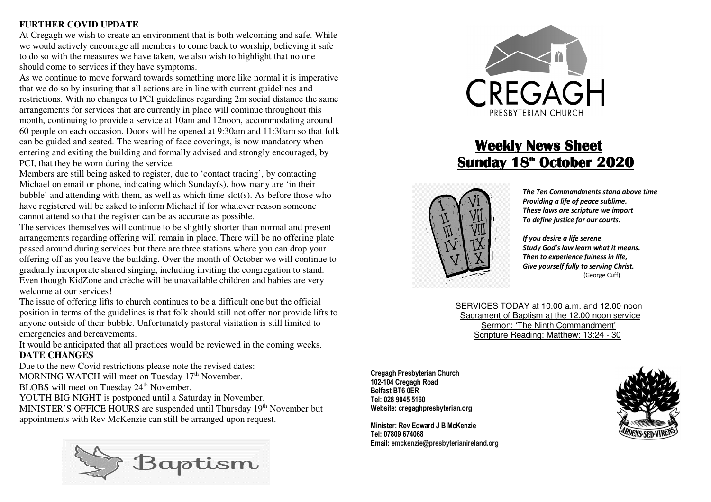## **FURTHER COVID UPDATE**

 At Cregagh we wish to create an environment that is both welcoming and safe. While we would actively encourage all members to come back to worship, believing it safe to do so with the measures we have taken, we also wish to highlight that no one should come to services if they have symptoms.

 As we continue to move forward towards something more like normal it is imperative that we do so by insuring that all actions are in line with current guidelines and restrictions. With no changes to PCI guidelines regarding 2m social distance the same arrangements for services that are currently in place will continue throughout this month, continuing to provide a service at 10am and 12noon, accommodating around 60 people on each occasion. Doors will be opened at 9:30am and 11:30am so that folk can be guided and seated. The wearing of face coverings, is now mandatory when entering and exiting the building and formally advised and strongly encouraged, by PCI, that they be worn during the service.

 Members are still being asked to register, due to 'contact tracing', by contacting Michael on email or phone, indicating which Sunday(s), how many are 'in their bubble' and attending with them, as well as which time slot(s). As before those who have registered will be asked to inform Michael if for whatever reason someone cannot attend so that the register can be as accurate as possible.

 The services themselves will continue to be slightly shorter than normal and present arrangements regarding offering will remain in place. There will be no offering plate passed around during services but there are three stations where you can drop your offering off as you leave the building. Over the month of October we will continue to gradually incorporate shared singing, including inviting the congregation to stand. Even though KidZone and crèche will be unavailable children and babies are very welcome at our services!

 The issue of offering lifts to church continues to be a difficult one but the official position in terms of the guidelines is that folk should still not offer nor provide lifts to anyone outside of their bubble. Unfortunately pastoral visitation is still limited to emergencies and bereavements.

It would be anticipated that all practices would be reviewed in the coming weeks.

## **DATE CHANGES**

 Due to the new Covid restrictions please note the revised dates: MORNING WATCH will meet on Tuesday 17<sup>th</sup> November. BLOBS will meet on Tuesday 24<sup>th</sup> November.

YOUTH BIG NIGHT is postponed until a Saturday in November.

MINISTER'S OFFICE HOURS are suspended until Thursday 19<sup>th</sup> November but appointments with Rev McKenzie can still be arranged upon request.





# **Weekly News Sheet <u>Sunday 18<sup><sup>th</sup> October 2020</u>**</u></sup>



*The Ten Commandments stand above time Providing a life of peace sublime. These laws are scripture we import To define justice for our courts.* 

 *If you desire a life serene Study God's law learn what it means. Then to experience fulness in life, Give yourself fully to serving Christ.* (George Cuff)

SERVICES TODAY at 10.00 a.m. and 12.00 noon Sacrament of Baptism at the 12.00 noon service Sermon: 'The Ninth Commandment' Scripture Reading: Matthew: 13:24 - 30

**Cregagh Presbyterian Church 102-104 Cregagh RoadBelfast BT6 0ER Tel: 028 9045 5160 Website: cregaghpresbyterian.org** 

**Minister: Rev Edward J B McKenzie Tel: 07809 674068 Email: emckenzie@presbyterianireland.org**

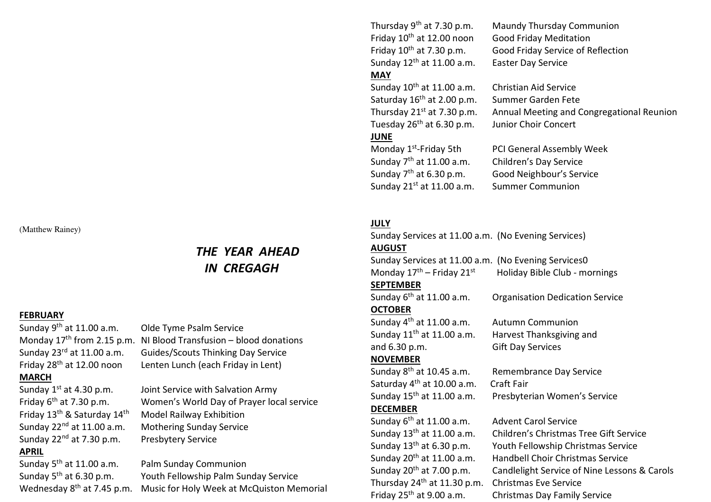(Matthew Rainey)

## *THE YEAR AHEAD IN CREGAGH*

### **FEBRUARY**

**MARCH** 

# Friday 13th & Saturday 14th Model Railway Exhibition Sunday 22<sup>nd</sup> at 7.30 p.m. Presbytery Service **APRIL**

Sunday 9th at 11.00 a.m. Olde Tyme Psalm Service Monday  $17<sup>th</sup>$  from 2.15 p.m. NI Blood Transfusion – blood donations Sunday 23<sup>rd</sup> at 11.00 a.m. Guides/Scouts Thinking Day Service Friday 28<sup>th</sup> at 12.00 noon Lenten Lunch (each Friday in Lent)

Sunday  $1^{st}$  at 4.30 p.m. Joint Service with Salvation Army Friday 6th at 7.30 p.m. Women's World Day of Prayer local service Sunday 22<sup>nd</sup> at 11.00 a.m. Mothering Sunday Service

Sunday 5th at 11.00 a.m. Palm Sunday Communion Sunday 5th at 6.30 p.m. Youth Fellowship Palm Sunday Service Wednesday 8<sup>th</sup> at 7.45 p.m. Music for Holy Week at McQuiston Memorial Thursday 9th at 7.30 p.m. Maundy Thursday Communion Friday 10th at 12.00 noon Good Friday Meditation Sunday 12th at 11.00 a.m. Easter Day Service **MAY** 

# Sunday 10th at 11.00 a.m. Christian Aid Service Saturday 16th at 2.00 p.m. Summer Garden Fete Tuesday 26th at 6.30 p.m. Junior Choir Concert

## **JUNE**

Friday 10<sup>th</sup> at 7.30 p.m. Good Friday Service of Reflection

Thursday 21st at 7.30 p.m. Annual Meeting and Congregational Reunion

Monday 1<sup>st</sup>-Friday 5th PCI General Assembly Week Sunday 7th at 11.00 a.m. Children's Day Service Sunday 7th at 6.30 p.m. Good Neighbour's Service Sunday 21<sup>st</sup> at 11.00 a.m. Summer Communion

## **JULY**

Sunday Services at 11.00 a.m. (No Evening Services) **AUGUST** 

Sunday Services at 11.00 a.m. (No Evening Services0 Monday  $17<sup>th</sup>$  – Friday  $21<sup>st</sup>$  Holiday Bible Club - mornings

## **SEPTEMBER**

Sunday 6th at 11.00 a.m. Organisation Dedication Service **OCTOBER** 

Sunday 4<sup>th</sup> at 11.00 a.m. Autumn Communion and 6.30 p.m. Gift Day Services

Sunday 11<sup>th</sup> at 11.00 a.m. Harvest Thanksgiving and

## **NOVEMBER**

Saturday 4<sup>th</sup> at 10.00 a.m. Craft Fair Sunday 15th at 11.00 a.m. Presbyterian Women's Service

**DECEMBER** 

Sunday 6<sup>th</sup> at 11.00 a.m. Advent Carol Service Thursday 24th at 11.30 p.m. Christmas Eve Service

Sunday 8th at 10.45 a.m. Remembrance Day Service

Sunday 13th at 11.00 a.m. Children's Christmas Tree Gift Service Sunday 13th at 6.30 p.m. Youth Fellowship Christmas Service Sunday 20th at 11.00 a.m. Handbell Choir Christmas Service Sunday 20th at 7.00 p.m. Candlelight Service of Nine Lessons & Carols Friday 25th at 9.00 a.m. Christmas Day Family Service